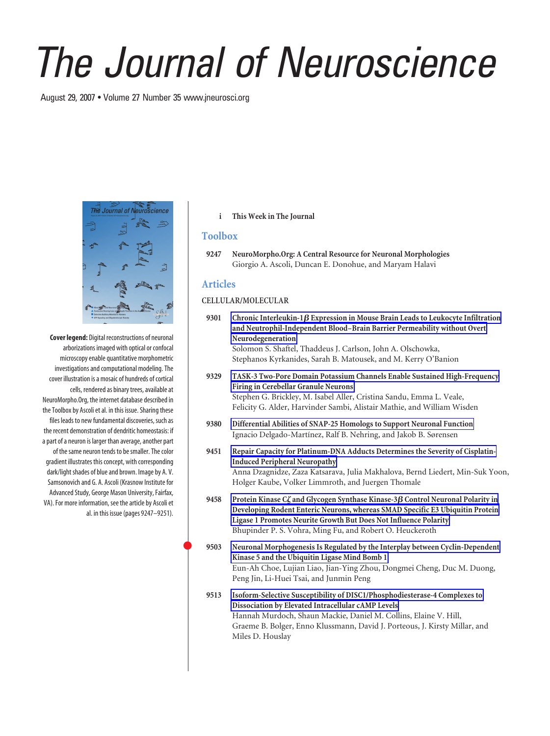# *The Journal of Neuroscience*

August 29, 2007 • Volume 27 Number 35 www.jneurosci.org



**Cover legend:** Digital reconstructions of neuronal arborizations imaged with optical or confocal microscopy enable quantitative morphometric investigations and computational modeling. The cover illustration is a mosaic of hundreds of cortical cells, rendered as binary trees, available at NeuroMorpho.Org, the internet database described in the Toolbox by Ascoli et al. in this issue. Sharing these files leads to new fundamental discoveries, such as the recent demonstration of dendritic homeostasis: if a part of a neuron is larger than average, another part of the same neuron tends to be smaller. The color gradient illustrates this concept, with corresponding dark/light shades of blue and brown. Image by A. V. Samsonovich and G. A. Ascoli (Krasnow Institute for Advanced Study, George Mason University, Fairfax, VA). For more information, see the article by Ascoli et al. in this issue (pages 9247–9251).

### **i This Week in The Journal**

## **Toolbox**

**9247 NeuroMorpho.Org: A Central Resource for Neuronal Morphologies** Giorgio A. Ascoli, Duncan E. Donohue, and Maryam Halavi

# **Articles**

### **CELLULAR/MOLECULAR**

9301 Chronic Interleukin-1 $\beta$  Expression in Mouse Brain Leads to Leukocyte Infiltration **and Neutrophil-Independent Blood–Brain Barrier Permeability without Overt Neurodegeneration** Solomon S. Shaftel, Thaddeus J. Carlson, John A. Olschowka, Stephanos Kyrkanides, Sarah B. Matousek, and M. Kerry O'Banion

**9329 TASK-3 Two-Pore Domain Potassium Channels Enable Sustained High-Frequency Firing in Cerebellar Granule Neurons** Stephen G. Brickley, M. Isabel Aller, Cristina Sandu, Emma L. Veale, Felicity G. Alder, Harvinder Sambi, Alistair Mathie, and William Wisden

- **9380 Differential Abilities of SNAP-25 Homologs to Support Neuronal Function** Ignacio Delgado-Martínez, Ralf B. Nehring, and Jakob B. Sørensen
- **9451 Repair Capacity for Platinum-DNA Adducts Determines the Severity of Cisplatin-Induced Peripheral Neuropathy** Anna Dzagnidze, Zaza Katsarava, Julia Makhalova, Bernd Liedert, Min-Suk Yoon, Holger Kaube, Volker Limmroth, and Juergen Thomale
- **9458 Protein Kinase C and Glycogen Synthase Kinase-3 Control Neuronal Polarity in Developing Rodent Enteric Neurons, whereas SMAD Specific E3 Ubiquitin Protein Ligase 1 Promotes Neurite Growth But Does Not Influence Polarity** Bhupinder P. S. Vohra, Ming Fu, and Robert O. Heuckeroth
- **9503 Neuronal Morphogenesis Is Regulated by the Interplay between Cyclin-Dependent Kinase 5 and the Ubiquitin Ligase Mind Bomb 1** Eun-Ah Choe, Lujian Liao, Jian-Ying Zhou, Dongmei Cheng, Duc M. Duong, Peng Jin, Li-Huei Tsai, and Junmin Peng
- **9513 Isoform-Selective Susceptibility of DISC1/Phosphodiesterase-4 Complexes to Dissociation by Elevated Intracellular cAMP Levels** Hannah Murdoch, Shaun Mackie, Daniel M. Collins, Elaine V. Hill, Graeme B. Bolger, Enno Klussmann, David J. Porteous, J. Kirsty Millar, and Miles D. Houslay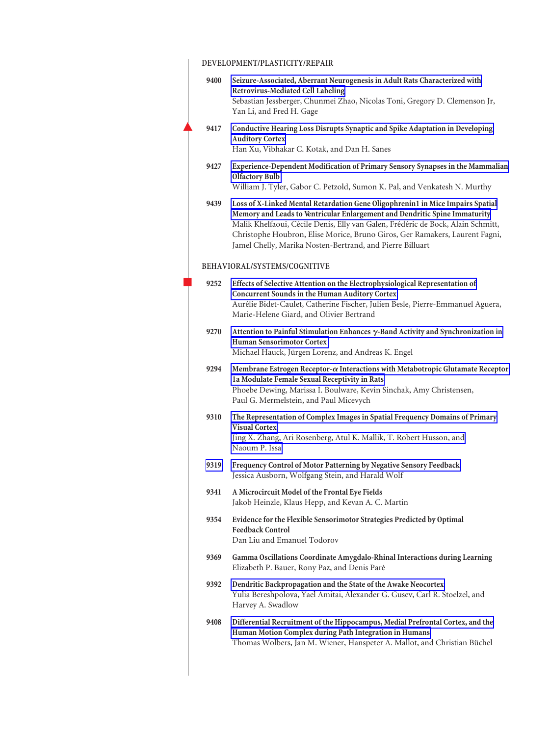# **DEVELOPMENT/PLASTICITY/REPAIR**

|                              | 9400 | Seizure-Associated, Aberrant Neurogenesis in Adult Rats Characterized with<br><b>Retrovirus-Mediated Cell Labeling</b>                                                                                                                                                                                                                                                                      |
|------------------------------|------|---------------------------------------------------------------------------------------------------------------------------------------------------------------------------------------------------------------------------------------------------------------------------------------------------------------------------------------------------------------------------------------------|
|                              |      | Sebastian Jessberger, Chunmei Zhao, Nicolas Toni, Gregory D. Clemenson Jr,<br>Yan Li, and Fred H. Gage                                                                                                                                                                                                                                                                                      |
|                              | 9417 | Conductive Hearing Loss Disrupts Synaptic and Spike Adaptation in Developing<br><b>Auditory Cortex</b>                                                                                                                                                                                                                                                                                      |
|                              |      | Han Xu, Vibhakar C. Kotak, and Dan H. Sanes                                                                                                                                                                                                                                                                                                                                                 |
|                              | 9427 | Experience-Dependent Modification of Primary Sensory Synapses in the Mammalian<br><b>Olfactory Bulb</b>                                                                                                                                                                                                                                                                                     |
|                              |      | William J. Tyler, Gabor C. Petzold, Sumon K. Pal, and Venkatesh N. Murthy                                                                                                                                                                                                                                                                                                                   |
|                              | 9439 | Loss of X-Linked Mental Retardation Gene Oligophrenin1 in Mice Impairs Spatial<br>Memory and Leads to Ventricular Enlargement and Dendritic Spine Immaturity<br>Malik Khelfaoui, Cécile Denis, Elly van Galen, Frédéric de Bock, Alain Schmitt,<br>Christophe Houbron, Elise Morice, Bruno Giros, Ger Ramakers, Laurent Fagni,<br>Jamel Chelly, Marika Nosten-Bertrand, and Pierre Billuart |
| BEHAVIORAL/SYSTEMS/COGNITIVE |      |                                                                                                                                                                                                                                                                                                                                                                                             |
|                              | 9252 | Effects of Selective Attention on the Electrophysiological Representation of<br>Concurrent Sounds in the Human Auditory Cortex<br>Aurélie Bidet-Caulet, Catherine Fischer, Julien Besle, Pierre-Emmanuel Aguera,<br>Marie-Helene Giard, and Olivier Bertrand                                                                                                                                |
|                              | 9270 | Attention to Painful Stimulation Enhances γ-Band Activity and Synchronization in<br><b>Human Sensorimotor Cortex</b><br>Michael Hauck, Jürgen Lorenz, and Andreas K. Engel                                                                                                                                                                                                                  |
|                              | 9294 | Membrane Estrogen Receptor- $\alpha$ Interactions with Metabotropic Glutamate Receptor<br>1a Modulate Female Sexual Receptivity in Rats<br>Phoebe Dewing, Marissa I. Boulware, Kevin Sinchak, Amy Christensen,<br>Paul G. Mermelstein, and Paul Micevych                                                                                                                                    |
|                              | 9310 | The Representation of Complex Images in Spatial Frequency Domains of Primary<br><b>Visual Cortex</b><br>Jing X. Zhang, Ari Rosenberg, Atul K. Mallik, T. Robert Husson, and<br>Naoum P. Issa                                                                                                                                                                                                |
|                              | 9319 | Frequency Control of Motor Patterning by Negative Sensory Feedback<br>Jessica Ausborn, Wolfgang Stein, and Harald Wolf                                                                                                                                                                                                                                                                      |
|                              | 9341 | A Microcircuit Model of the Frontal Eye Fields<br>Jakob Heinzle, Klaus Hepp, and Kevan A. C. Martin                                                                                                                                                                                                                                                                                         |
|                              | 9354 | Evidence for the Flexible Sensorimotor Strategies Predicted by Optimal<br><b>Feedback Control</b><br>Dan Liu and Emanuel Todorov                                                                                                                                                                                                                                                            |
|                              | 9369 | Gamma Oscillations Coordinate Amygdalo-Rhinal Interactions during Learning<br>Elizabeth P. Bauer, Rony Paz, and Denis Paré                                                                                                                                                                                                                                                                  |
|                              | 9392 | Dendritic Backpropagation and the State of the Awake Neocortex<br>Yulia Bereshpolova, Yael Amitai, Alexander G. Gusev, Carl R. Stoelzel, and<br>Harvey A. Swadlow                                                                                                                                                                                                                           |
|                              | 9408 | Differential Recruitment of the Hippocampus, Medial Prefrontal Cortex, and the<br>Human Motion Complex during Path Integration in Humans<br>Thomas Wolbers, Jan M. Wiener, Hanspeter A. Mallot, and Christian Büchel                                                                                                                                                                        |
|                              |      |                                                                                                                                                                                                                                                                                                                                                                                             |